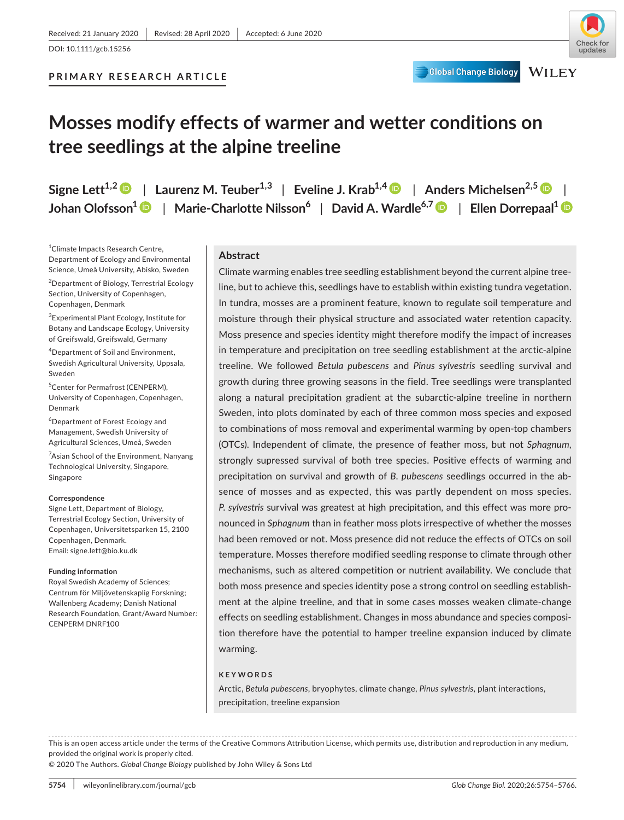**Global Change Biology** 

# **PRIMARY RESEARCH ARTICLE**

# **Mosses modify effects of warmer and wetter conditions on tree seedlings at the alpine treeline**

| Signe Lett <sup>1,2</sup> $\bullet$   Laurenz M. Teuber <sup>1,3</sup>   Eveline J. Krab <sup>1,4</sup> $\bullet$   Anders Michelsen <sup>2,5</sup> $\bullet$ |
|---------------------------------------------------------------------------------------------------------------------------------------------------------------|
| Johan Olofsson <sup>1</sup> <sup>1</sup>   Marie-Charlotte Nilsson <sup>6</sup>   David A. Wardle <sup>6,7</sup> D   Ellen Dorrepaal <sup>1</sup> D           |

1 Climate Impacts Research Centre, Department of Ecology and Environmental Science, Umeå University, Abisko, Sweden

2 Department of Biology, Terrestrial Ecology Section, University of Copenhagen, Copenhagen, Denmark

3 Experimental Plant Ecology, Institute for Botany and Landscape Ecology, University of Greifswald, Greifswald, Germany

4 Department of Soil and Environment, Swedish Agricultural University, Uppsala, Sweden

5 Center for Permafrost (CENPERM), University of Copenhagen, Copenhagen, Denmark

6 Department of Forest Ecology and Management, Swedish University of Agricultural Sciences, Umeå, Sweden

<sup>7</sup> Asian School of the Environment, Nanyang Technological University, Singapore, Singapore

#### **Correspondence**

Signe Lett, Department of Biology, Terrestrial Ecology Section, University of Copenhagen, Universitetsparken 15, 2100 Copenhagen, Denmark. Email: [signe.lett@bio.ku.dk](mailto:signe.lett@bio.ku.dk)

#### **Funding information**

Royal Swedish Academy of Sciences; Centrum för Miljövetenskaplig Forskning; Wallenberg Academy; Danish National Research Foundation, Grant/Award Number: CENPERM DNRF100

#### **Abstract**

Climate warming enables tree seedling establishment beyond the current alpine treeline, but to achieve this, seedlings have to establish within existing tundra vegetation. In tundra, mosses are a prominent feature, known to regulate soil temperature and moisture through their physical structure and associated water retention capacity. Moss presence and species identity might therefore modify the impact of increases in temperature and precipitation on tree seedling establishment at the arctic-alpine treeline. We followed *Betula pubescens* and *Pinus sylvestris* seedling survival and growth during three growing seasons in the field. Tree seedlings were transplanted along a natural precipitation gradient at the subarctic-alpine treeline in northern Sweden, into plots dominated by each of three common moss species and exposed to combinations of moss removal and experimental warming by open-top chambers (OTCs). Independent of climate, the presence of feather moss, but not *Sphagnum*, strongly supressed survival of both tree species. Positive effects of warming and precipitation on survival and growth of *B. pubescens* seedlings occurred in the absence of mosses and as expected, this was partly dependent on moss species. *P. sylvestris* survival was greatest at high precipitation, and this effect was more pronounced in *Sphagnum* than in feather moss plots irrespective of whether the mosses had been removed or not. Moss presence did not reduce the effects of OTCs on soil temperature. Mosses therefore modified seedling response to climate through other mechanisms, such as altered competition or nutrient availability. We conclude that both moss presence and species identity pose a strong control on seedling establishment at the alpine treeline, and that in some cases mosses weaken climate-change effects on seedling establishment. Changes in moss abundance and species composition therefore have the potential to hamper treeline expansion induced by climate warming.

#### **KEYWORDS**

Arctic, *Betula pubescens*, bryophytes, climate change, *Pinus sylvestris*, plant interactions, precipitation, treeline expansion

This is an open access article under the terms of the [Creative Commons Attribution](http://creativecommons.org/licenses/by/4.0/) License, which permits use, distribution and reproduction in any medium, provided the original work is properly cited.

© 2020 The Authors. *Global Change Biology* published by John Wiley & Sons Ltd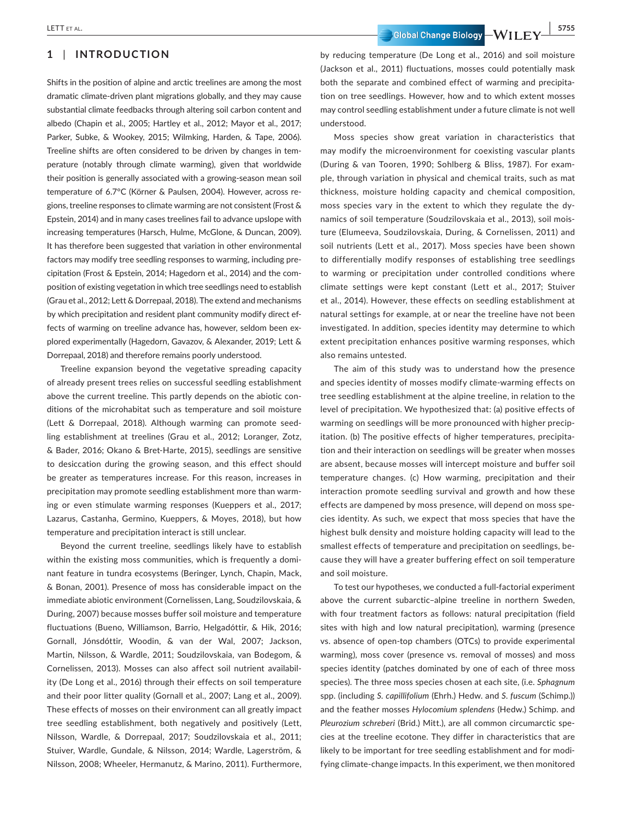## **1** | **INTRODUCTION**

Shifts in the position of alpine and arctic treelines are among the most dramatic climate-driven plant migrations globally, and they may cause substantial climate feedbacks through altering soil carbon content and albedo (Chapin et al., 2005; Hartley et al., 2012; Mayor et al., 2017; Parker, Subke, & Wookey, 2015; Wilmking, Harden, & Tape, 2006). Treeline shifts are often considered to be driven by changes in temperature (notably through climate warming), given that worldwide their position is generally associated with a growing-season mean soil temperature of 6.7°C (Körner & Paulsen, 2004). However, across regions, treeline responses to climate warming are not consistent (Frost & Epstein, 2014) and in many cases treelines fail to advance upslope with increasing temperatures (Harsch, Hulme, McGlone, & Duncan, 2009). It has therefore been suggested that variation in other environmental factors may modify tree seedling responses to warming, including precipitation (Frost & Epstein, 2014; Hagedorn et al., 2014) and the composition of existing vegetation in which tree seedlings need to establish (Grau et al., 2012; Lett & Dorrepaal, 2018). The extend and mechanisms by which precipitation and resident plant community modify direct effects of warming on treeline advance has, however, seldom been explored experimentally (Hagedorn, Gavazov, & Alexander, 2019; Lett & Dorrepaal, 2018) and therefore remains poorly understood.

Treeline expansion beyond the vegetative spreading capacity of already present trees relies on successful seedling establishment above the current treeline. This partly depends on the abiotic conditions of the microhabitat such as temperature and soil moisture (Lett & Dorrepaal, 2018). Although warming can promote seedling establishment at treelines (Grau et al., 2012; Loranger, Zotz, & Bader, 2016; Okano & Bret-Harte, 2015), seedlings are sensitive to desiccation during the growing season, and this effect should be greater as temperatures increase. For this reason, increases in precipitation may promote seedling establishment more than warming or even stimulate warming responses (Kueppers et al., 2017; Lazarus, Castanha, Germino, Kueppers, & Moyes, 2018), but how temperature and precipitation interact is still unclear.

Beyond the current treeline, seedlings likely have to establish within the existing moss communities, which is frequently a dominant feature in tundra ecosystems (Beringer, Lynch, Chapin, Mack, & Bonan, 2001). Presence of moss has considerable impact on the immediate abiotic environment (Cornelissen, Lang, Soudzilovskaia, & During, 2007) because mosses buffer soil moisture and temperature fluctuations (Bueno, Williamson, Barrio, Helgadóttir, & Hik, 2016; Gornall, Jónsdóttir, Woodin, & van der Wal, 2007; Jackson, Martin, Nilsson, & Wardle, 2011; Soudzilovskaia, van Bodegom, & Cornelissen, 2013). Mosses can also affect soil nutrient availability (De Long et al., 2016) through their effects on soil temperature and their poor litter quality (Gornall et al., 2007; Lang et al., 2009). These effects of mosses on their environment can all greatly impact tree seedling establishment, both negatively and positively (Lett, Nilsson, Wardle, & Dorrepaal, 2017; Soudzilovskaia et al., 2011; Stuiver, Wardle, Gundale, & Nilsson, 2014; Wardle, Lagerström, & Nilsson, 2008; Wheeler, Hermanutz, & Marino, 2011). Furthermore,

 **LETT ET AL.** 5755 (Slobal Change Biology - WILEY 5755

by reducing temperature (De Long et al., 2016) and soil moisture (Jackson et al., 2011) fluctuations, mosses could potentially mask both the separate and combined effect of warming and precipitation on tree seedlings. However, how and to which extent mosses may control seedling establishment under a future climate is not well understood.

Moss species show great variation in characteristics that may modify the microenvironment for coexisting vascular plants (During & van Tooren, 1990; Sohlberg & Bliss, 1987). For example, through variation in physical and chemical traits, such as mat thickness, moisture holding capacity and chemical composition, moss species vary in the extent to which they regulate the dynamics of soil temperature (Soudzilovskaia et al., 2013), soil moisture (Elumeeva, Soudzilovskaia, During, & Cornelissen, 2011) and soil nutrients (Lett et al., 2017). Moss species have been shown to differentially modify responses of establishing tree seedlings to warming or precipitation under controlled conditions where climate settings were kept constant (Lett et al., 2017; Stuiver et al., 2014). However, these effects on seedling establishment at natural settings for example, at or near the treeline have not been investigated. In addition, species identity may determine to which extent precipitation enhances positive warming responses, which also remains untested.

The aim of this study was to understand how the presence and species identity of mosses modify climate-warming effects on tree seedling establishment at the alpine treeline, in relation to the level of precipitation. We hypothesized that: (a) positive effects of warming on seedlings will be more pronounced with higher precipitation. (b) The positive effects of higher temperatures, precipitation and their interaction on seedlings will be greater when mosses are absent, because mosses will intercept moisture and buffer soil temperature changes. (c) How warming, precipitation and their interaction promote seedling survival and growth and how these effects are dampened by moss presence, will depend on moss species identity. As such, we expect that moss species that have the highest bulk density and moisture holding capacity will lead to the smallest effects of temperature and precipitation on seedlings, because they will have a greater buffering effect on soil temperature and soil moisture.

To test our hypotheses, we conducted a full-factorial experiment above the current subarctic–alpine treeline in northern Sweden, with four treatment factors as follows: natural precipitation (field sites with high and low natural precipitation), warming (presence vs. absence of open-top chambers (OTCs) to provide experimental warming), moss cover (presence vs. removal of mosses) and moss species identity (patches dominated by one of each of three moss species). The three moss species chosen at each site, (i.e. *Sphagnum* spp. (including *S. capillifolium* (Ehrh.) Hedw. and *S. fuscum* (Schimp.)) and the feather mosses *Hylocomium splendens* (Hedw.) Schimp. and *Pleurozium schreberi* (Brid.) Mitt.), are all common circumarctic species at the treeline ecotone. They differ in characteristics that are likely to be important for tree seedling establishment and for modifying climate-change impacts. In this experiment, we then monitored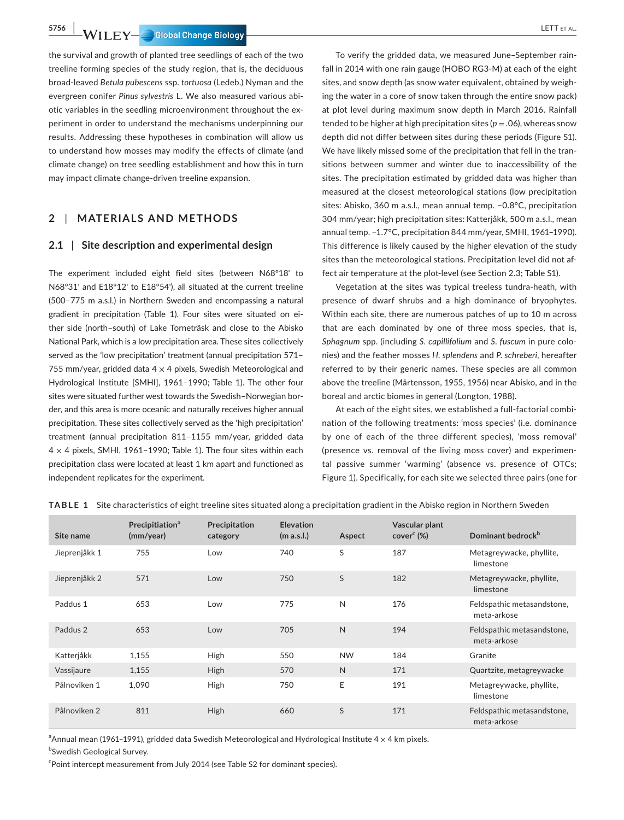**5756 |**  LETT et al.

the survival and growth of planted tree seedlings of each of the two treeline forming species of the study region, that is, the deciduous broad-leaved *Betula pubescens* ssp. *tortuosa* (Ledeb.) Nyman and the evergreen conifer *Pinus sylvestris* L. We also measured various abiotic variables in the seedling microenvironment throughout the experiment in order to understand the mechanisms underpinning our results. Addressing these hypotheses in combination will allow us to understand how mosses may modify the effects of climate (and climate change) on tree seedling establishment and how this in turn may impact climate change-driven treeline expansion.

# **2** | **MATERIALS AND METHODS**

## **2.1** | **Site description and experimental design**

The experiment included eight field sites (between N68º18' to N68º31' and E18º12' to E18º54'), all situated at the current treeline (500–775 m a.s.l.) in Northern Sweden and encompassing a natural gradient in precipitation (Table 1). Four sites were situated on either side (north–south) of Lake Torneträsk and close to the Abisko National Park, which is a low precipitation area. These sites collectively served as the 'low precipitation' treatment (annual precipitation 571– 755 mm/year, gridded data  $4 \times 4$  pixels, Swedish Meteorological and Hydrological Institute [SMHI], 1961–1990; Table 1). The other four sites were situated further west towards the Swedish–Norwegian border, and this area is more oceanic and naturally receives higher annual precipitation. These sites collectively served as the 'high precipitation' treatment (annual precipitation 811–1155 mm/year, gridded data  $4 \times 4$  pixels, SMHI, 1961-1990; Table 1). The four sites within each precipitation class were located at least 1 km apart and functioned as independent replicates for the experiment.

To verify the gridded data, we measured June–September rainfall in 2014 with one rain gauge (HOBO RG3-M) at each of the eight sites, and snow depth (as snow water equivalent, obtained by weighing the water in a core of snow taken through the entire snow pack) at plot level during maximum snow depth in March 2016. Rainfall tended to be higher at high precipitation sites ( $p = .06$ ), whereas snow depth did not differ between sites during these periods (Figure S1). We have likely missed some of the precipitation that fell in the transitions between summer and winter due to inaccessibility of the sites. The precipitation estimated by gridded data was higher than measured at the closest meteorological stations (low precipitation sites: Abisko, 360 m a.s.l., mean annual temp. −0.8°C, precipitation 304 mm/year; high precipitation sites: Katterjåkk, 500 m a.s.l., mean annual temp. −1.7°C, precipitation 844 mm/year, SMHI, 1961–1990). This difference is likely caused by the higher elevation of the study sites than the meteorological stations. Precipitation level did not affect air temperature at the plot-level (see Section 2.3; Table S1).

Vegetation at the sites was typical treeless tundra-heath, with presence of dwarf shrubs and a high dominance of bryophytes. Within each site, there are numerous patches of up to 10 m across that are each dominated by one of three moss species, that is, *Sphagnum* spp. (including *S. capillifolium* and *S. fuscum* in pure colonies) and the feather mosses *H. splendens* and *P. schreberi*, hereafter referred to by their generic names. These species are all common above the treeline (Mårtensson, 1955, 1956) near Abisko, and in the boreal and arctic biomes in general (Longton, 1988).

At each of the eight sites, we established a full-factorial combination of the following treatments: 'moss species' (i.e. dominance by one of each of the three different species), 'moss removal' (presence vs. removal of the living moss cover) and experimental passive summer 'warming' (absence vs. presence of OTCs; Figure 1). Specifically, for each site we selected three pairs (one for

| Site name     | Precipitiation <sup>a</sup><br>(mm/year) | Precipitation<br>category | <b>Elevation</b><br>(m a.s.l.) | Aspect       | Vascular plant<br>cover <sup>c</sup> (%) | Dominant bedrock <sup>b</sup>             |
|---------------|------------------------------------------|---------------------------|--------------------------------|--------------|------------------------------------------|-------------------------------------------|
| Jieprenjåkk 1 | 755                                      | Low                       | 740                            | S            | 187                                      | Metagreywacke, phyllite,<br>limestone     |
| Jieprenjåkk 2 | 571                                      | Low                       | 750                            | S            | 182                                      | Metagreywacke, phyllite,<br>limestone     |
| Paddus 1      | 653                                      | Low                       | 775                            | N            | 176                                      | Feldspathic metasandstone,<br>meta-arkose |
| Paddus 2      | 653                                      | Low                       | 705                            | $\mathsf{N}$ | 194                                      | Feldspathic metasandstone,<br>meta-arkose |
| Katterjåkk    | 1,155                                    | <b>High</b>               | 550                            | <b>NW</b>    | 184                                      | Granite                                   |
| Vassijaure    | 1,155                                    | <b>High</b>               | 570                            | N            | 171                                      | Quartzite, metagreywacke                  |
| Pålnoviken 1  | 1,090                                    | High                      | 750                            | E            | 191                                      | Metagreywacke, phyllite,<br>limestone     |
| Pålnoviken 2  | 811                                      | High                      | 660                            | S            | 171                                      | Feldspathic metasandstone,<br>meta-arkose |

**TABLE 1** Site characteristics of eight treeline sites situated along a precipitation gradient in the Abisko region in Northern Sweden

 $a$ Annual mean (1961–1991), gridded data Swedish Meteorological and Hydrological Institute 4  $\times$  4 km pixels.

b Swedish Geological Survey.

<sup>c</sup>Point intercept measurement from July 2014 (see Table S2 for dominant species).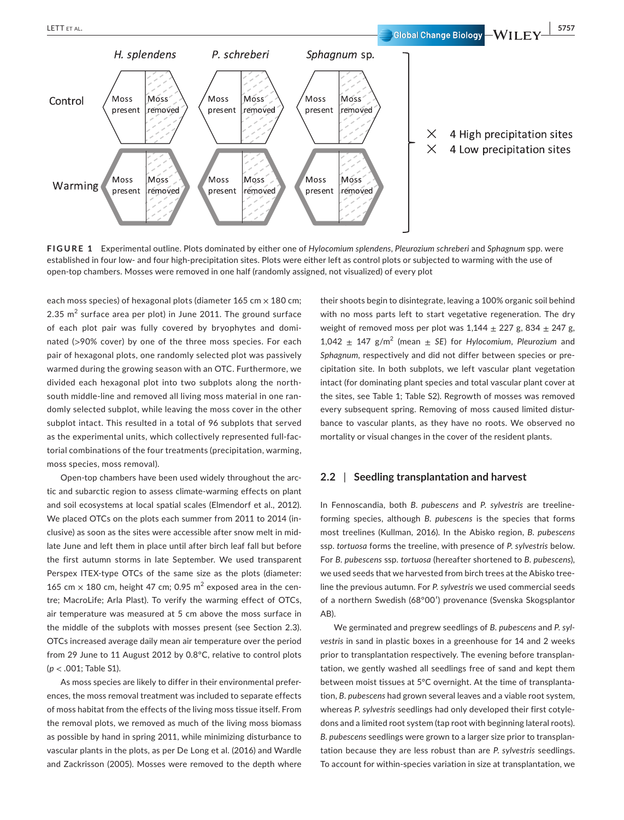

**FIGURE 1** Experimental outline. Plots dominated by either one of *Hylocomium splendens*, *Pleurozium schreberi* and *Sphagnum* spp. were established in four low- and four high-precipitation sites. Plots were either left as control plots or subjected to warming with the use of open-top chambers. Mosses were removed in one half (randomly assigned, not visualized) of every plot

each moss species) of hexagonal plots (diameter  $165$  cm  $\times$   $180$  cm; 2.35  $\mathrm{m}^2$  surface area per plot) in June 2011. The ground surface of each plot pair was fully covered by bryophytes and dominated (>90% cover) by one of the three moss species. For each pair of hexagonal plots, one randomly selected plot was passively warmed during the growing season with an OTC. Furthermore, we divided each hexagonal plot into two subplots along the northsouth middle-line and removed all living moss material in one randomly selected subplot, while leaving the moss cover in the other subplot intact. This resulted in a total of 96 subplots that served as the experimental units, which collectively represented full-factorial combinations of the four treatments (precipitation, warming, moss species, moss removal).

Open-top chambers have been used widely throughout the arctic and subarctic region to assess climate-warming effects on plant and soil ecosystems at local spatial scales (Elmendorf et al., 2012). We placed OTCs on the plots each summer from 2011 to 2014 (inclusive) as soon as the sites were accessible after snow melt in midlate June and left them in place until after birch leaf fall but before the first autumn storms in late September. We used transparent Perspex ITEX-type OTCs of the same size as the plots (diameter: 165 cm  $\times$  180 cm, height 47 cm; 0.95 m<sup>2</sup> exposed area in the centre; MacroLife; Arla Plast). To verify the warming effect of OTCs, air temperature was measured at 5 cm above the moss surface in the middle of the subplots with mosses present (see Section 2.3). OTCs increased average daily mean air temperature over the period from 29 June to 11 August 2012 by 0.8°C, relative to control plots (*p* < .001; Table S1).

As moss species are likely to differ in their environmental preferences, the moss removal treatment was included to separate effects of moss habitat from the effects of the living moss tissue itself. From the removal plots, we removed as much of the living moss biomass as possible by hand in spring 2011, while minimizing disturbance to vascular plants in the plots, as per De Long et al. (2016) and Wardle and Zackrisson (2005). Mosses were removed to the depth where

their shoots begin to disintegrate, leaving a 100% organic soil behind with no moss parts left to start vegetative regeneration. The dry weight of removed moss per plot was  $1.144 \pm 227$  g,  $834 \pm 247$  g,  $1,042 \pm 147$  g/m<sup>2</sup> (mean  $\pm$  SE) for Hylocomium, Pleurozium and *Sphagnum*, respectively and did not differ between species or precipitation site. In both subplots, we left vascular plant vegetation intact (for dominating plant species and total vascular plant cover at the sites, see Table 1; Table S2). Regrowth of mosses was removed every subsequent spring. Removing of moss caused limited disturbance to vascular plants, as they have no roots. We observed no mortality or visual changes in the cover of the resident plants.

### **2.2** | **Seedling transplantation and harvest**

In Fennoscandia, both *B. pubescens* and *P*. *sylvestris* are treelineforming species, although *B. pubescens* is the species that forms most treelines (Kullman, 2016). In the Abisko region, *B. pubescens* ssp. *tortuosa* forms the treeline, with presence of *P. sylvestris* below. For *B. pubescens* ssp. *tortuosa* (hereafter shortened to *B. pubescens*), we used seeds that we harvested from birch trees at the Abisko treeline the previous autumn. For *P. sylvestris* we used commercial seeds of a northern Swedish (68°00ʹ) provenance (Svenska Skogsplantor AB).

We germinated and pregrew seedlings of *B. pubescens* and *P. sylvestris* in sand in plastic boxes in a greenhouse for 14 and 2 weeks prior to transplantation respectively. The evening before transplantation, we gently washed all seedlings free of sand and kept them between moist tissues at 5°C overnight. At the time of transplantation, *B. pubescens* had grown several leaves and a viable root system, whereas *P. sylvestris* seedlings had only developed their first cotyledons and a limited root system (tap root with beginning lateral roots). *B. pubescens* seedlings were grown to a larger size prior to transplantation because they are less robust than are *P. sylvestris* seedlings. To account for within-species variation in size at transplantation, we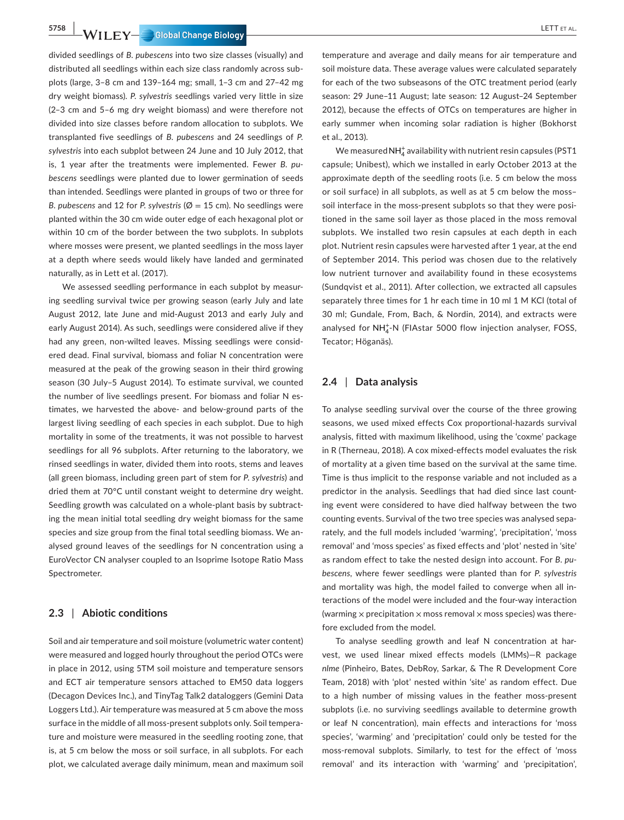**5758 |**  LETT et al.

divided seedlings of *B. pubescens* into two size classes (visually) and distributed all seedlings within each size class randomly across subplots (large, 3–8 cm and 139–164 mg; small, 1–3 cm and 27–42 mg dry weight biomass). *P. sylvestris* seedlings varied very little in size (2–3 cm and 5–6 mg dry weight biomass) and were therefore not divided into size classes before random allocation to subplots. We transplanted five seedlings of *B. pubescens* and 24 seedlings of *P. sylvestris* into each subplot between 24 June and 10 July 2012, that is, 1 year after the treatments were implemented. Fewer *B. pubescens* seedlings were planted due to lower germination of seeds than intended. Seedlings were planted in groups of two or three for *B. pubescens* and 12 for *P. sylvestris* ( $\emptyset$  = 15 cm). No seedlings were planted within the 30 cm wide outer edge of each hexagonal plot or within 10 cm of the border between the two subplots. In subplots where mosses were present, we planted seedlings in the moss layer at a depth where seeds would likely have landed and germinated naturally, as in Lett et al. (2017).

We assessed seedling performance in each subplot by measuring seedling survival twice per growing season (early July and late August 2012, late June and mid-August 2013 and early July and early August 2014). As such, seedlings were considered alive if they had any green, non-wilted leaves. Missing seedlings were considered dead. Final survival, biomass and foliar N concentration were measured at the peak of the growing season in their third growing season (30 July–5 August 2014). To estimate survival, we counted the number of live seedlings present. For biomass and foliar N estimates, we harvested the above- and below-ground parts of the largest living seedling of each species in each subplot. Due to high mortality in some of the treatments, it was not possible to harvest seedlings for all 96 subplots. After returning to the laboratory, we rinsed seedlings in water, divided them into roots, stems and leaves (all green biomass, including green part of stem for *P. sylvestris*) and dried them at 70°C until constant weight to determine dry weight. Seedling growth was calculated on a whole-plant basis by subtracting the mean initial total seedling dry weight biomass for the same species and size group from the final total seedling biomass. We analysed ground leaves of the seedlings for N concentration using a EuroVector CN analyser coupled to an Isoprime Isotope Ratio Mass Spectrometer.

## **2.3** | **Abiotic conditions**

Soil and air temperature and soil moisture (volumetric water content) were measured and logged hourly throughout the period OTCs were in place in 2012, using 5TM soil moisture and temperature sensors and ECT air temperature sensors attached to EM50 data loggers (Decagon Devices Inc.), and TinyTag Talk2 dataloggers (Gemini Data Loggers Ltd.). Air temperature was measured at 5 cm above the moss surface in the middle of all moss-present subplots only. Soil temperature and moisture were measured in the seedling rooting zone, that is, at 5 cm below the moss or soil surface, in all subplots. For each plot, we calculated average daily minimum, mean and maximum soil

temperature and average and daily means for air temperature and soil moisture data. These average values were calculated separately for each of the two subseasons of the OTC treatment period (early season: 29 June–11 August; late season: 12 August–24 September 2012), because the effects of OTCs on temperatures are higher in early summer when incoming solar radiation is higher (Bokhorst et al., 2013).

We measured NH $_4^+$  availability with nutrient resin capsules (PST1 capsule; Unibest), which we installed in early October 2013 at the approximate depth of the seedling roots (i.e. 5 cm below the moss or soil surface) in all subplots, as well as at 5 cm below the moss– soil interface in the moss-present subplots so that they were positioned in the same soil layer as those placed in the moss removal subplots. We installed two resin capsules at each depth in each plot. Nutrient resin capsules were harvested after 1 year, at the end of September 2014. This period was chosen due to the relatively low nutrient turnover and availability found in these ecosystems (Sundqvist et al., 2011). After collection, we extracted all capsules separately three times for 1 hr each time in 10 ml 1 M KCl (total of 30 ml; Gundale, From, Bach, & Nordin, 2014), and extracts were analysed for  $NH_4^+N$  (FIAstar 5000 flow injection analyser, FOSS, Tecator; Höganäs).

## **2.4** | **Data analysis**

To analyse seedling survival over the course of the three growing seasons, we used mixed effects Cox proportional-hazards survival analysis, fitted with maximum likelihood, using the 'coxme' package in R (Therneau, 2018). A cox mixed-effects model evaluates the risk of mortality at a given time based on the survival at the same time. Time is thus implicit to the response variable and not included as a predictor in the analysis. Seedlings that had died since last counting event were considered to have died halfway between the two counting events. Survival of the two tree species was analysed separately, and the full models included 'warming', 'precipitation', 'moss removal' and 'moss species' as fixed effects and 'plot' nested in 'site' as random effect to take the nested design into account. For *B. pubescens*, where fewer seedlings were planted than for *P. sylvestris* and mortality was high, the model failed to converge when all interactions of the model were included and the four-way interaction (warming  $\times$  precipitation  $\times$  moss removal  $\times$  moss species) was therefore excluded from the model.

To analyse seedling growth and leaf N concentration at harvest, we used linear mixed effects models (LMMs)—R package *nlme* (Pinheiro, Bates, DebRoy, Sarkar, & The R Development Core Team, 2018) with 'plot' nested within 'site' as random effect. Due to a high number of missing values in the feather moss-present subplots (i.e. no surviving seedlings available to determine growth or leaf N concentration), main effects and interactions for 'moss species', 'warming' and 'precipitation' could only be tested for the moss-removal subplots. Similarly, to test for the effect of 'moss removal' and its interaction with 'warming' and 'precipitation',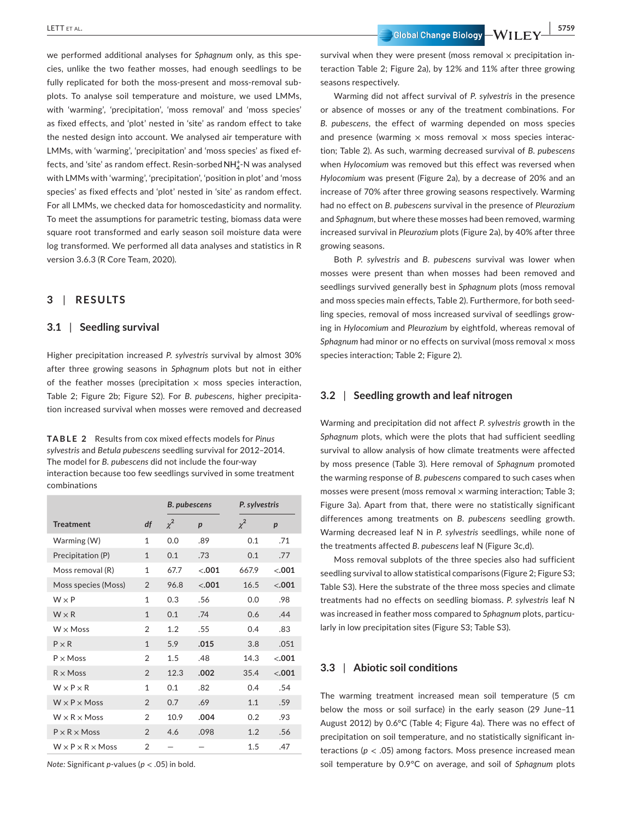we performed additional analyses for *Sphagnum* only, as this species, unlike the two feather mosses, had enough seedlings to be fully replicated for both the moss-present and moss-removal subplots. To analyse soil temperature and moisture, we used LMMs, with 'warming', 'precipitation', 'moss removal' and 'moss species' as fixed effects, and 'plot' nested in 'site' as random effect to take the nested design into account. We analysed air temperature with LMMs, with 'warming', 'precipitation' and 'moss species' as fixed effects, and 'site' as random effect. Resin-sorbed  $\mathsf{NH}_4^+$ -N was analysed with LMMs with 'warming', 'precipitation', 'position in plot' and 'moss species' as fixed effects and 'plot' nested in 'site' as random effect. For all LMMs, we checked data for homoscedasticity and normality. To meet the assumptions for parametric testing, biomass data were square root transformed and early season soil moisture data were log transformed. We performed all data analyses and statistics in R version 3.6.3 (R Core Team, 2020).

# **3** | **RESULTS**

## **3.1** | **Seedling survival**

Higher precipitation increased *P. sylvestris* survival by almost 30% after three growing seasons in *Sphagnum* plots but not in either of the feather mosses (precipitation  $\times$  moss species interaction, Table 2; Figure 2b; Figure S2). For *B. pubescens*, higher precipitation increased survival when mosses were removed and decreased

**TABLE 2** Results from cox mixed effects models for *Pinus sylvestris* and *Betula pubescens* seedling survival for 2012–2014. The model for *B. pubescens* did not include the four-way interaction because too few seedlings survived in some treatment combinations

|                                   |                | <b>B.</b> pubescens |                  | P. sylvestris |                  |
|-----------------------------------|----------------|---------------------|------------------|---------------|------------------|
| <b>Treatment</b>                  | df             | $\chi^2$            | $\boldsymbol{p}$ | $\chi^2$      | $\boldsymbol{p}$ |
| Warming (W)                       | $\mathbf{1}$   | 0.0                 | .89              | 0.1           | .71              |
| Precipitation (P)                 | $\mathbf{1}$   | 0.1                 | .73              | 0.1           | .77              |
| Moss removal (R)                  | $\mathbf{1}$   | 67.7                | $-.001$          | 667.9         | $-.001$          |
| Moss species (Moss)               | $\overline{2}$ | 96.8                | $-.001$          | 16.5          | $-.001$          |
| $W \times P$                      | $\mathbf{1}$   | 0.3                 | .56              | 0.0           | .98              |
| $W \times R$                      | $\mathbf{1}$   | 0.1                 | .74              | 0.6           | .44              |
| $W \times$ Moss                   | $\overline{2}$ | 1.2                 | .55              | 0.4           | .83              |
| $P \times R$                      | $\mathbf{1}$   | 5.9                 | .015             | 3.8           | .051             |
| $P \times$ Moss                   | $\overline{2}$ | 1.5                 | .48              | 14.3          | $-.001$          |
| $R \times$ Moss                   | $\overline{2}$ | 12.3                | .002             | 35.4          | $-.001$          |
| $W \times P \times R$             | $\mathbf{1}$   | 0.1                 | .82              | 0.4           | .54              |
| $W \times P \times$ Moss          | $\mathfrak{D}$ | 0.7                 | .69              | 1.1           | .59              |
| $W \times R \times M$ oss         | 2              | 10.9                | .004             | 0.2           | .93              |
| $P \times R \times$ Moss          | $\overline{2}$ | 4.6                 | .098             | 1.2           | .56              |
| $W \times P \times R \times$ Moss | 2              |                     |                  | 1.5           | .47              |

*Note:* Significant *p*-values (*p* < .05) in bold.

survival when they were present (moss removal  $\times$  precipitation interaction Table 2; Figure 2a), by 12% and 11% after three growing seasons respectively.

Warming did not affect survival of *P. sylvestris* in the presence or absence of mosses or any of the treatment combinations. For *B. pubescens*, the effect of warming depended on moss species and presence (warming  $\times$  moss removal  $\times$  moss species interaction; Table 2). As such, warming decreased survival of *B. pubescens* when *Hylocomium* was removed but this effect was reversed when *Hylocomium* was present (Figure 2a), by a decrease of 20% and an increase of 70% after three growing seasons respectively. Warming had no effect on *B*. *pubescens* survival in the presence of *Pleurozium* and *Sphagnum*, but where these mosses had been removed, warming increased survival in *Pleurozium* plots (Figure 2a), by 40% after three growing seasons.

Both *P. sylvestris* and *B. pubescens* survival was lower when mosses were present than when mosses had been removed and seedlings survived generally best in *Sphagnum* plots (moss removal and moss species main effects, Table 2). Furthermore, for both seedling species, removal of moss increased survival of seedlings growing in *Hylocomium* and *Pleurozium* by eightfold, whereas removal of *Sphagnum* had minor or no effects on survival (moss removal x moss species interaction; Table 2; Figure 2).

## **3.2** | **Seedling growth and leaf nitrogen**

Warming and precipitation did not affect *P. sylvestris* growth in the *Sphagnum* plots, which were the plots that had sufficient seedling survival to allow analysis of how climate treatments were affected by moss presence (Table 3). Here removal of *Sphagnum* promoted the warming response of *B. pubescens* compared to such cases when mosses were present (moss removal  $\times$  warming interaction; Table 3; Figure 3a). Apart from that, there were no statistically significant differences among treatments on *B. pubescens* seedling growth. Warming decreased leaf N in *P. sylvestris* seedlings, while none of the treatments affected *B. pubescens* leaf N (Figure 3c,d).

Moss removal subplots of the three species also had sufficient seedling survival to allow statistical comparisons (Figure 2; Figure S3; Table S3). Here the substrate of the three moss species and climate treatments had no effects on seedling biomass. *P. sylvestris* leaf N was increased in feather moss compared to *Sphagnum* plots, particularly in low precipitation sites (Figure S3; Table S3).

## **3.3** | **Abiotic soil conditions**

The warming treatment increased mean soil temperature (5 cm below the moss or soil surface) in the early season (29 June–11 August 2012) by 0.6°C (Table 4; Figure 4a). There was no effect of precipitation on soil temperature, and no statistically significant interactions (*p* < .05) among factors. Moss presence increased mean soil temperature by 0.9°C on average, and soil of *Sphagnum* plots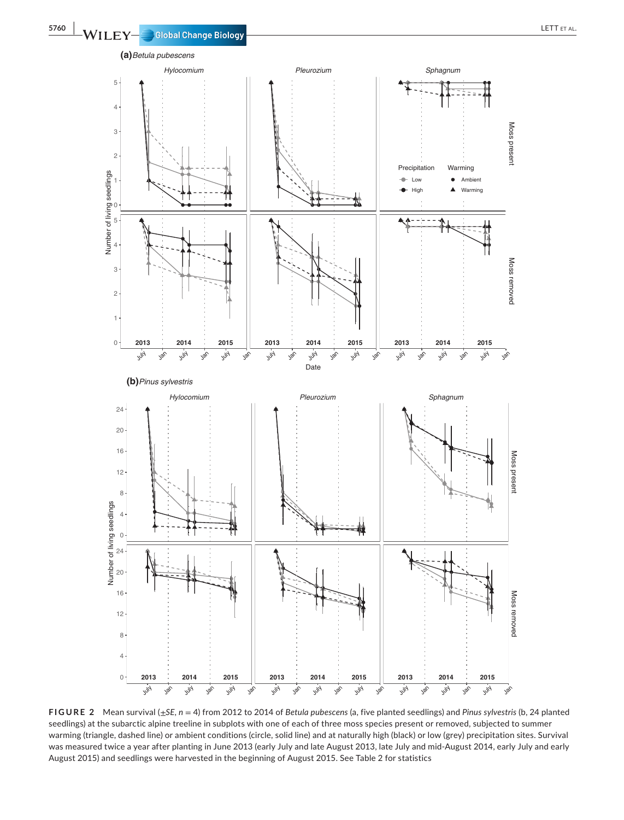

**FIGURE 2** Mean survival (±*SE*, *n* = 4) from 2012 to 2014 of *Betula pubescens* (a, five planted seedlings) and *Pinus sylvestris* (b, 24 planted seedlings) at the subarctic alpine treeline in subplots with one of each of three moss species present or removed, subjected to summer warming (triangle, dashed line) or ambient conditions (circle, solid line) and at naturally high (black) or low (grey) precipitation sites. Survival was measured twice a year after planting in June 2013 (early July and late August 2013, late July and mid-August 2014, early July and early August 2015) and seedlings were harvested in the beginning of August 2015. See Table 2 for statistics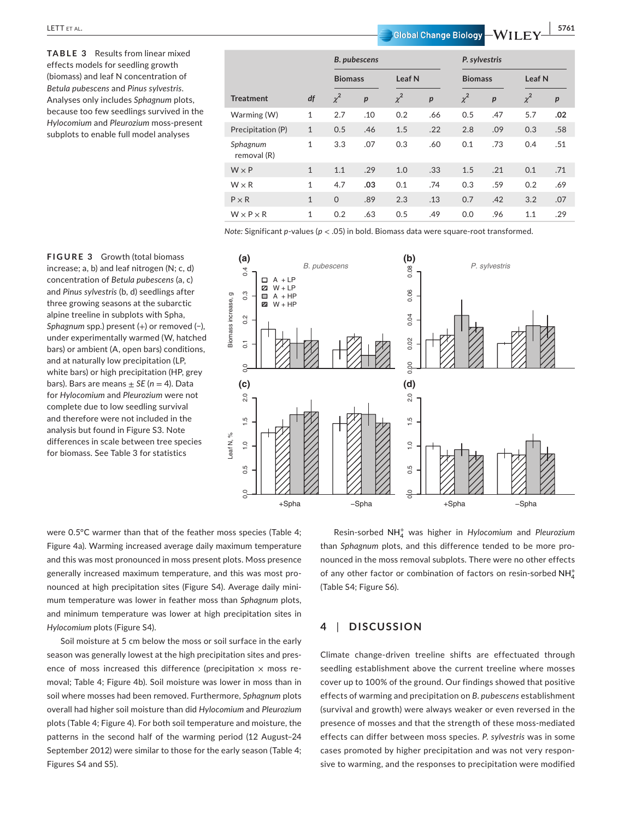**TABLE 3** Results from linear mixed effects models for seedling growth (biomass) and leaf N concentration of *Betula pubescens* and *Pinus sylvestris*. Analyses only includes *Sphagnum* plots, because too few seedlings survived in the *Hylocomium* and *Pleurozium* moss-present subplots to enable full model analyses

|                         |              |                | <b>B.</b> pubescens |                   |                  |                | P. sylvestris |                   |     |  |
|-------------------------|--------------|----------------|---------------------|-------------------|------------------|----------------|---------------|-------------------|-----|--|
|                         |              | <b>Biomass</b> |                     | Leaf <sub>N</sub> |                  | <b>Biomass</b> |               | Leaf <sub>N</sub> |     |  |
| Treatment               | df           | $\chi^2$       | p                   | $\chi^2$          | $\boldsymbol{p}$ | $\chi^2$       | p             | $\chi^2$          | p   |  |
| Warming (W)             | 1            | 2.7            | .10                 | 0.2               | .66              | 0.5            | .47           | 5.7               | .02 |  |
| Precipitation (P)       | $\mathbf{1}$ | 0.5            | .46                 | 1.5               | .22              | 2.8            | .09           | 0.3               | .58 |  |
| Sphagnum<br>removal (R) | 1            | 3.3            | .07                 | 0.3               | .60              | 0.1            | .73           | 0.4               | .51 |  |
| $W \times P$            | $\mathbf{1}$ | 1.1            | .29                 | 1.0               | .33              | 1.5            | .21           | 0.1               | .71 |  |
| $W \times R$            | $\mathbf{1}$ | 4.7            | .03                 | 0.1               | .74              | 0.3            | .59           | 0.2               | .69 |  |
| $P \times R$            | $\mathbf{1}$ | $\Omega$       | .89                 | 2.3               | .13              | 0.7            | .42           | 3.2               | .07 |  |
| $W \times P \times R$   | $\mathbf{1}$ | 0.2            | .63                 | 0.5               | .49              | 0.0            | .96           | 1.1               | .29 |  |

*Note:* Significant *p*-values (*p* < .05) in bold. Biomass data were square-root transformed.



**FIGURE 3** Growth (total biomass increase; a, b) and leaf nitrogen (N; c, d) concentration of *Betula pubescens* (a, c) and *Pinus sylvestris* (b, d) seedlings after three growing seasons at the subarctic alpine treeline in subplots with Spha, *Sphagnum* spp.) present (+) or removed (−), under experimentally warmed (W, hatched bars) or ambient (A, open bars) conditions, and at naturally low precipitation (LP, white bars) or high precipitation (HP, grey bars). Bars are means  $\pm$  *SE* (*n* = 4). Data for *Hylocomium* and *Pleurozium* were not complete due to low seedling survival and therefore were not included in the analysis but found in Figure S3. Note differences in scale between tree species for biomass. See Table 3 for statistics

were 0.5°C warmer than that of the feather moss species (Table 4; Figure 4a). Warming increased average daily maximum temperature and this was most pronounced in moss present plots. Moss presence generally increased maximum temperature, and this was most pronounced at high precipitation sites (Figure S4). Average daily minimum temperature was lower in feather moss than *Sphagnum* plots, and minimum temperature was lower at high precipitation sites in *Hylocomium* plots (Figure S4).

Soil moisture at 5 cm below the moss or soil surface in the early season was generally lowest at the high precipitation sites and presence of moss increased this difference (precipitation  $\times$  moss removal; Table 4; Figure 4b). Soil moisture was lower in moss than in soil where mosses had been removed. Furthermore, *Sphagnum* plots overall had higher soil moisture than did *Hylocomium* and *Pleurozium* plots (Table 4; Figure 4). For both soil temperature and moisture, the patterns in the second half of the warming period (12 August–24 September 2012) were similar to those for the early season (Table 4; Figures S4 and S5).

Resin-sorbed NH<sup>+</sup> <sup>4</sup> was higher in *Hylocomium* and *Pleurozium* than *Sphagnum* plots, and this difference tended to be more pronounced in the moss removal subplots. There were no other effects of any other factor or combination of factors on resin-sorbed  $NH_4^+$ (Table S4; Figure S6).

# **4** | **DISCUSSION**

Climate change-driven treeline shifts are effectuated through seedling establishment above the current treeline where mosses cover up to 100% of the ground. Our findings showed that positive effects of warming and precipitation on *B. pubescens* establishment (survival and growth) were always weaker or even reversed in the presence of mosses and that the strength of these moss-mediated effects can differ between moss species. *P. sylvestris* was in some cases promoted by higher precipitation and was not very responsive to warming, and the responses to precipitation were modified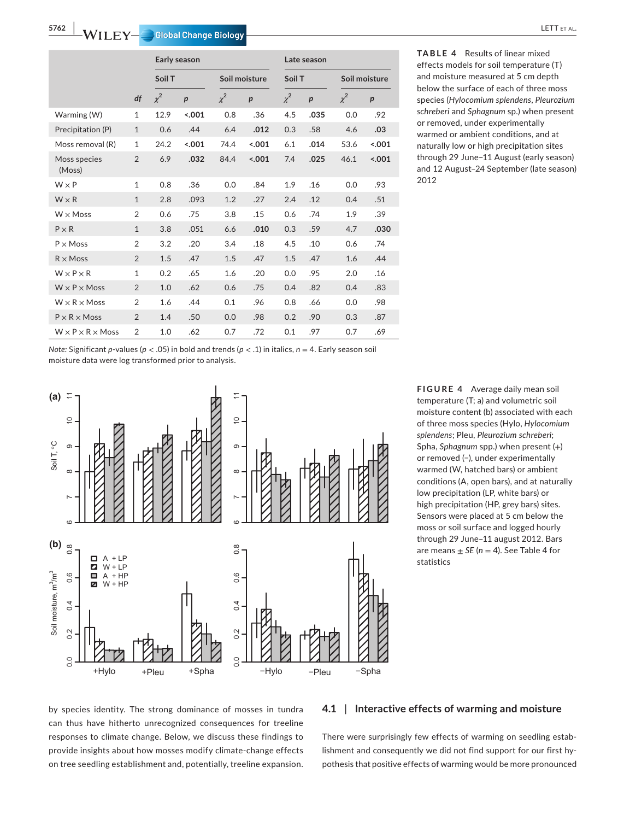|                                   |                |          | Early season |          |               | Late season |        |          |                  |  |
|-----------------------------------|----------------|----------|--------------|----------|---------------|-------------|--------|----------|------------------|--|
|                                   |                | Soil T   |              |          | Soil moisture |             | Soil T |          | Soil moisture    |  |
|                                   | df             | $\chi^2$ | p            | $\chi^2$ | p             | $\chi^2$    | p      | $\chi^2$ | $\boldsymbol{p}$ |  |
| Warming (W)                       | $\mathbf{1}$   | 12.9     | < .001       | 0.8      | .36           | 4.5         | .035   | 0.0      | .92              |  |
| Precipitation (P)                 | $\mathbf{1}$   | 0.6      | .44          | 6.4      | .012          | 0.3         | .58    | 4.6      | .03              |  |
| Moss removal (R)                  | $\mathbf{1}$   | 24.2     | < .001       | 74.4     | < .001        | 6.1         | .014   | 53.6     | < .001           |  |
| Moss species<br>(Moss)            | $\overline{2}$ | 6.9      | .032         | 84.4     | < .001        | 7.4         | .025   | 46.1     | < .001           |  |
| $W \times P$                      | $\mathbf{1}$   | 0.8      | .36          | 0.0      | .84           | 1.9         | .16    | 0.0      | .93              |  |
| $W \times R$                      | $\mathbf{1}$   | 2.8      | .093         | 1.2      | .27           | 2.4         | .12    | 0.4      | .51              |  |
| $W \times$ Moss                   | $\overline{2}$ | 0.6      | .75          | 3.8      | .15           | 0.6         | .74    | 1.9      | .39              |  |
| $P \times R$                      | $\mathbf{1}$   | 3.8      | .051         | 6.6      | .010          | 0.3         | .59    | 4.7      | .030             |  |
| $P \times$ Moss                   | $\overline{2}$ | 3.2      | .20          | 3.4      | .18           | 4.5         | .10    | 0.6      | .74              |  |
| $R \times$ Moss                   | $\overline{2}$ | 1.5      | .47          | 1.5      | .47           | 1.5         | .47    | 1.6      | .44              |  |
| $W \times P \times R$             | $\mathbf{1}$   | 0.2      | .65          | 1.6      | .20           | 0.0         | .95    | 2.0      | .16              |  |
| $W \times P \times$ Moss          | $\overline{2}$ | 1.0      | .62          | 0.6      | .75           | 0.4         | .82    | 0.4      | .83              |  |
| $W \times R \times$ Moss          | $\overline{2}$ | 1.6      | .44          | 0.1      | .96           | 0.8         | .66    | 0.0      | .98              |  |
| $P \times R \times$ Moss          | $\overline{2}$ | 1.4      | .50          | 0.0      | .98           | 0.2         | .90    | 0.3      | .87              |  |
| $W \times P \times R \times$ Moss | $\overline{2}$ | 1.0      | .62          | 0.7      | .72           | 0.1         | .97    | 0.7      | .69              |  |

**TABLE 4** Results of linear mixed effects models for soil temperature (T) and moisture measured at 5 cm depth below the surface of each of three moss species (*Hylocomium splendens*, *Pleurozium schreberi* and *Sphagnum* sp.) when present or removed, under experimentally warmed or ambient conditions, and at naturally low or high precipitation sites through 29 June–11 August (early season) and 12 August–24 September (late season) 2012

*Note:* Significant *p*-values (*p* < .05) in bold and trends (*p* < .1) in italics, *n* = 4. Early season soil moisture data were log transformed prior to analysis.



**FIGURE 4** Average daily mean soil temperature (T; a) and volumetric soil moisture content (b) associated with each of three moss species (Hylo, *Hylocomium splendens*; Pleu, *Pleurozium schreberi*; Spha, *Sphagnum* spp.) when present (+) or removed (−), under experimentally warmed (W, hatched bars) or ambient conditions (A, open bars), and at naturally low precipitation (LP, white bars) or high precipitation (HP, grey bars) sites. Sensors were placed at 5 cm below the moss or soil surface and logged hourly through 29 June–11 august 2012. Bars are means  $\pm$  *SE* ( $n = 4$ ). See Table 4 for statistics

by species identity. The strong dominance of mosses in tundra can thus have hitherto unrecognized consequences for treeline responses to climate change. Below, we discuss these findings to provide insights about how mosses modify climate-change effects on tree seedling establishment and, potentially, treeline expansion.

# **4.1** | **Interactive effects of warming and moisture**

There were surprisingly few effects of warming on seedling establishment and consequently we did not find support for our first hypothesis that positive effects of warming would be more pronounced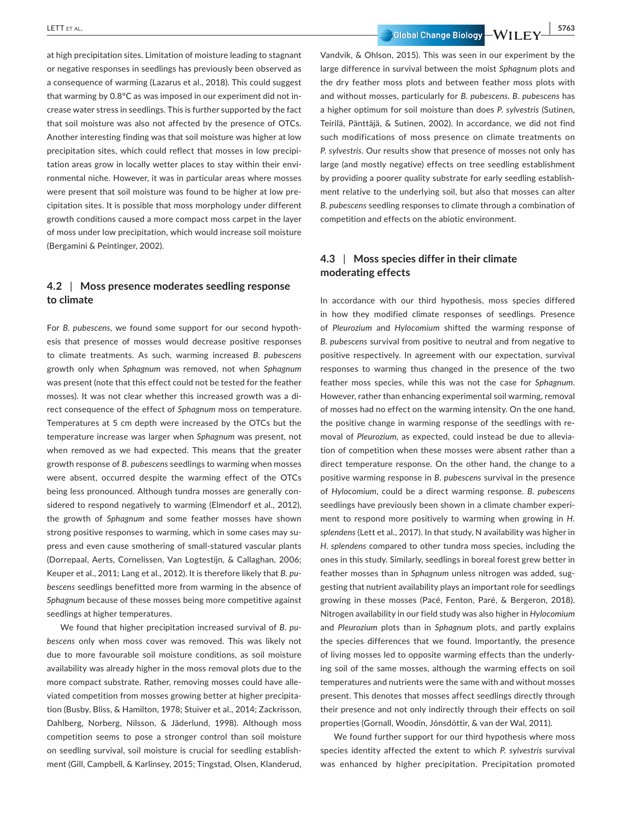at high precipitation sites. Limitation of moisture leading to stagnant or negative responses in seedlings has previously been observed as a consequence of warming (Lazarus et al., 2018). This could suggest that warming by 0.8°C as was imposed in our experiment did not increase water stress in seedlings. This is further supported by the fact that soil moisture was also not affected by the presence of OTCs. Another interesting finding was that soil moisture was higher at low precipitation sites, which could reflect that mosses in low precipitation areas grow in locally wetter places to stay within their environmental niche. However, it was in particular areas where mosses were present that soil moisture was found to be higher at low precipitation sites. It is possible that moss morphology under different growth conditions caused a more compact moss carpet in the layer of moss under low precipitation, which would increase soil moisture (Bergamini & Peintinger, 2002).

# **4.2** | **Moss presence moderates seedling response to climate**

For *B. pubescens*, we found some support for our second hypothesis that presence of mosses would decrease positive responses to climate treatments. As such, warming increased *B. pubescens* growth only when *Sphagnum* was removed, not when *Sphagnum* was present (note that this effect could not be tested for the feather mosses). It was not clear whether this increased growth was a direct consequence of the effect of *Sphagnum* moss on temperature. Temperatures at 5 cm depth were increased by the OTCs but the temperature increase was larger when *Sphagnum* was present, not when removed as we had expected. This means that the greater growth response of *B. pubescens* seedlings to warming when mosses were absent, occurred despite the warming effect of the OTCs being less pronounced. Although tundra mosses are generally considered to respond negatively to warming (Elmendorf et al., 2012), the growth of *Sphagnum* and some feather mosses have shown strong positive responses to warming, which in some cases may supress and even cause smothering of small-statured vascular plants (Dorrepaal, Aerts, Cornelissen, Van Logtestijn, & Callaghan, 2006; Keuper et al., 2011; Lang et al., 2012). It is therefore likely that *B. pubescens* seedlings benefitted more from warming in the absence of *Sphagnum* because of these mosses being more competitive against seedlings at higher temperatures.

We found that higher precipitation increased survival of *B. pubescens* only when moss cover was removed. This was likely not due to more favourable soil moisture conditions, as soil moisture availability was already higher in the moss removal plots due to the more compact substrate. Rather, removing mosses could have alleviated competition from mosses growing better at higher precipitation (Busby, Bliss, & Hamilton, 1978; Stuiver et al., 2014; Zackrisson, Dahlberg, Norberg, Nilsson, & Jäderlund, 1998). Although moss competition seems to pose a stronger control than soil moisture on seedling survival, soil moisture is crucial for seedling establishment (Gill, Campbell, & Karlinsey, 2015; Tingstad, Olsen, Klanderud,

 **LETT ET AL. 19763**<br> **Example 2010 Change Biology — WILEY 45763** 

Vandvik, & Ohlson, 2015). This was seen in our experiment by the large difference in survival between the moist *Sphagnum* plots and the dry feather moss plots and between feather moss plots with and without mosses, particularly for *B. pubescens*. *B. pubescens* has a higher optimum for soil moisture than does *P. sylvestris* (Sutinen, Teirilä, Pänttäjä, & Sutinen, 2002). In accordance, we did not find such modifications of moss presence on climate treatments on *P. sylvestris*. Our results show that presence of mosses not only has large (and mostly negative) effects on tree seedling establishment by providing a poorer quality substrate for early seedling establishment relative to the underlying soil, but also that mosses can alter *B. pubescens* seedling responses to climate through a combination of competition and effects on the abiotic environment.

# **4.3** | **Moss species differ in their climate moderating effects**

In accordance with our third hypothesis, moss species differed in how they modified climate responses of seedlings. Presence of *Pleurozium* and *Hylocomium* shifted the warming response of *B. pubescens* survival from positive to neutral and from negative to positive respectively. In agreement with our expectation, survival responses to warming thus changed in the presence of the two feather moss species, while this was not the case for *Sphagnum*. However, rather than enhancing experimental soil warming, removal of mosses had no effect on the warming intensity. On the one hand, the positive change in warming response of the seedlings with removal of *Pleurozium*, as expected, could instead be due to alleviation of competition when these mosses were absent rather than a direct temperature response. On the other hand, the change to a positive warming response in *B. pubescens* survival in the presence of *Hylocomium*, could be a direct warming response. *B. pubescens* seedlings have previously been shown in a climate chamber experiment to respond more positively to warming when growing in *H. splendens* (Lett et al., 2017). In that study, N availability was higher in *H. splendens* compared to other tundra moss species, including the ones in this study. Similarly, seedlings in boreal forest grew better in feather mosses than in *Sphagnum* unless nitrogen was added, suggesting that nutrient availability plays an important role for seedlings growing in these mosses (Pacé, Fenton, Paré, & Bergeron, 2018). Nitrogen availability in our field study was also higher in *Hylocomium* and *Pleurozium* plots than in *Sphagnum* plots, and partly explains the species differences that we found. Importantly, the presence of living mosses led to opposite warming effects than the underlying soil of the same mosses, although the warming effects on soil temperatures and nutrients were the same with and without mosses present. This denotes that mosses affect seedlings directly through their presence and not only indirectly through their effects on soil properties (Gornall, Woodin, Jónsdóttir, & van der Wal, 2011).

We found further support for our third hypothesis where moss species identity affected the extent to which *P. sylvestris* survival was enhanced by higher precipitation. Precipitation promoted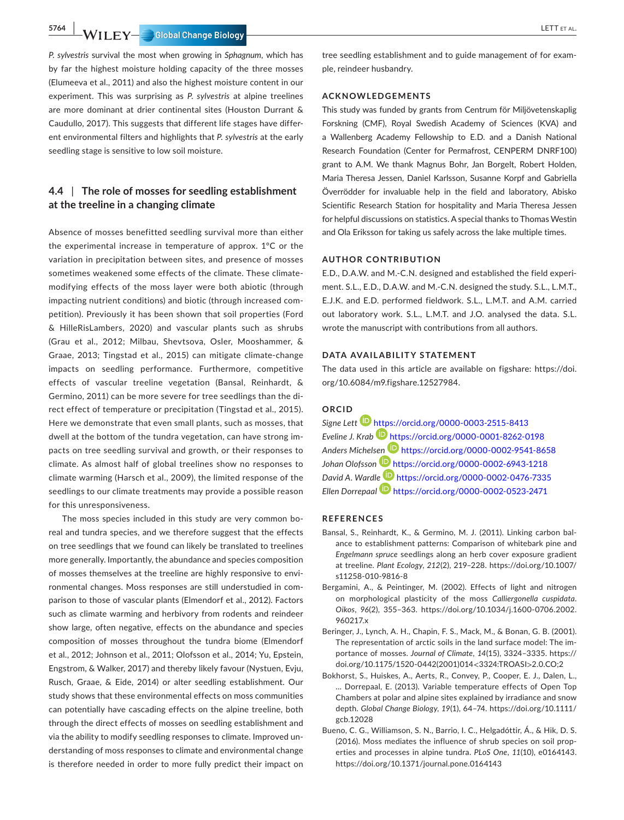**5764 WII FY Clobal Change Biology Research Contract Contract Contract Contract Contract Contract Contract Contract Contract Contract Contract Contract Contract Contract Contract Contract Contract Contract Contract Con** 

*P. sylvestris* survival the most when growing in *Sphagnum*, which has by far the highest moisture holding capacity of the three mosses (Elumeeva et al., 2011) and also the highest moisture content in our experiment. This was surprising as *P. sylvestris* at alpine treelines are more dominant at drier continental sites (Houston Durrant & Caudullo, 2017). This suggests that different life stages have different environmental filters and highlights that *P. sylvestris* at the early seedling stage is sensitive to low soil moisture.

# **4.4** | **The role of mosses for seedling establishment at the treeline in a changing climate**

Absence of mosses benefitted seedling survival more than either the experimental increase in temperature of approx. 1°C or the variation in precipitation between sites, and presence of mosses sometimes weakened some effects of the climate. These climatemodifying effects of the moss layer were both abiotic (through impacting nutrient conditions) and biotic (through increased competition). Previously it has been shown that soil properties (Ford & HilleRisLambers, 2020) and vascular plants such as shrubs (Grau et al., 2012; Milbau, Shevtsova, Osler, Mooshammer, & Graae, 2013; Tingstad et al., 2015) can mitigate climate-change impacts on seedling performance. Furthermore, competitive effects of vascular treeline vegetation (Bansal, Reinhardt, & Germino, 2011) can be more severe for tree seedlings than the direct effect of temperature or precipitation (Tingstad et al., 2015). Here we demonstrate that even small plants, such as mosses, that dwell at the bottom of the tundra vegetation, can have strong impacts on tree seedling survival and growth, or their responses to climate. As almost half of global treelines show no responses to climate warming (Harsch et al., 2009), the limited response of the seedlings to our climate treatments may provide a possible reason for this unresponsiveness.

The moss species included in this study are very common boreal and tundra species, and we therefore suggest that the effects on tree seedlings that we found can likely be translated to treelines more generally. Importantly, the abundance and species composition of mosses themselves at the treeline are highly responsive to environmental changes. Moss responses are still understudied in comparison to those of vascular plants (Elmendorf et al., 2012). Factors such as climate warming and herbivory from rodents and reindeer show large, often negative, effects on the abundance and species composition of mosses throughout the tundra biome (Elmendorf et al., 2012; Johnson et al., 2011; Olofsson et al., 2014; Yu, Epstein, Engstrom, & Walker, 2017) and thereby likely favour (Nystuen, Evju, Rusch, Graae, & Eide, 2014) or alter seedling establishment. Our study shows that these environmental effects on moss communities can potentially have cascading effects on the alpine treeline, both through the direct effects of mosses on seedling establishment and via the ability to modify seedling responses to climate. Improved understanding of moss responses to climate and environmental change is therefore needed in order to more fully predict their impact on

tree seedling establishment and to guide management of for example, reindeer husbandry.

#### **ACKNOWLEDGEMENTS**

This study was funded by grants from Centrum för Miljövetenskaplig Forskning (CMF), Royal Swedish Academy of Sciences (KVA) and a Wallenberg Academy Fellowship to E.D. and a Danish National Research Foundation (Center for Permafrost, CENPERM DNRF100) grant to A.M. We thank Magnus Bohr, Jan Borgelt, Robert Holden, Maria Theresa Jessen, Daniel Karlsson, Susanne Korpf and Gabriella Överrödder for invaluable help in the field and laboratory, Abisko Scientific Research Station for hospitality and Maria Theresa Jessen for helpful discussions on statistics. A special thanks to Thomas Westin and Ola Eriksson for taking us safely across the lake multiple times.

#### **AUTHOR CONTRIBUTION**

E.D., D.A.W. and M.-C.N. designed and established the field experiment. S.L., E.D., D.A.W. and M.-C.N. designed the study. S.L., L.M.T., E.J.K. and E.D. performed fieldwork. S.L., L.M.T. and A.M. carried out laboratory work. S.L., L.M.T. and J.O. analysed the data. S.L. wrote the manuscript with contributions from all authors.

#### **DATA AVAILABILITY STATEMENT**

The data used in this article are available on figshare: [https://doi.](https://doi.org/10.6084/m9.figshare.12527984) [org/10.6084/m9.figshare.12527984](https://doi.org/10.6084/m9.figshare.12527984).

## **ORCID**

*Signe Lett* <https://orcid.org/0000-0003-2515-8413> *Eveline J. Krab* <https://orcid.org/0000-0001-8262-0198> *Anders Michels[en](https://orcid.org/0000-0002-6943-1218)* <https://orcid.org/0000-0002-9541-8658> *Johan Olofsson* <https://orcid.org/0000-0002-6943-1218> *David A. Wardl[e](https://orcid.org/0000-0002-0523-2471)* <https://orcid.org/0000-0002-0476-7335> *Ellen Dorrepaal* <https://orcid.org/0000-0002-0523-2471>

#### **REFERENCES**

- Bansal, S., Reinhardt, K., & Germino, M. J. (2011). Linking carbon balance to establishment patterns: Comparison of whitebark pine and *Engelmann spruce* seedlings along an herb cover exposure gradient at treeline. *Plant Ecology*, *212*(2), 219–228. [https://doi.org/10.1007/](https://doi.org/10.1007/s11258-010-9816-8) [s11258-010-9816-8](https://doi.org/10.1007/s11258-010-9816-8)
- Bergamini, A., & Peintinger, M. (2002). Effects of light and nitrogen on morphological plasticity of the moss *Calliergonella cuspidata*. *Oikos*, *96*(2), 355–363. [https://doi.org/10.1034/j.1600-0706.2002.](https://doi.org/10.1034/j.1600-0706.2002.960217.x) [960217.x](https://doi.org/10.1034/j.1600-0706.2002.960217.x)
- Beringer, J., Lynch, A. H., Chapin, F. S., Mack, M., & Bonan, G. B. (2001). The representation of arctic soils in the land surface model: The importance of mosses. *Journal of Climate*, *14*(15), 3324–3335. [https://](https://doi.org/10.1175/1520-0442(2001)014%3C3324:TROASI%3E2.0.CO;2) [doi.org/10.1175/1520-0442\(2001\)014](https://doi.org/10.1175/1520-0442(2001)014%3C3324:TROASI%3E2.0.CO;2)<3324:TROASI>2.0.CO;2
- Bokhorst, S., Huiskes, A., Aerts, R., Convey, P., Cooper, E. J., Dalen, L., … Dorrepaal, E. (2013). Variable temperature effects of Open Top Chambers at polar and alpine sites explained by irradiance and snow depth. *Global Change Biology*, *19*(1), 64–74. [https://doi.org/10.1111/](https://doi.org/10.1111/gcb.12028) [gcb.12028](https://doi.org/10.1111/gcb.12028)
- Bueno, C. G., Williamson, S. N., Barrio, I. C., Helgadóttir, Á., & Hik, D. S. (2016). Moss mediates the influence of shrub species on soil properties and processes in alpine tundra. *PLoS One*, *11*(10), e0164143. <https://doi.org/10.1371/journal.pone.0164143>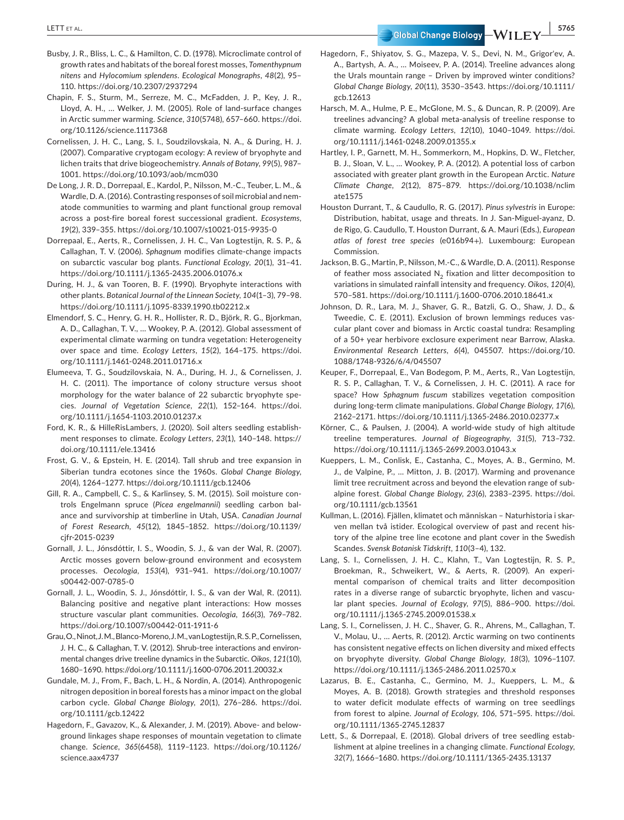**LETT ET AL.** 5765

- Busby, J. R., Bliss, L. C., & Hamilton, C. D. (1978). Microclimate control of growth rates and habitats of the boreal forest mosses, *Tomenthypnum nitens* and *Hylocomium splendens*. *Ecological Monographs*, *48*(2), 95– 110.<https://doi.org/10.2307/2937294>
- Chapin, F. S., Sturm, M., Serreze, M. C., McFadden, J. P., Key, J. R., Lloyd, A. H., … Welker, J. M. (2005). Role of land-surface changes in Arctic summer warming. *Science*, *310*(5748), 657–660. [https://doi.](https://doi.org/10.1126/science.1117368) [org/10.1126/science.1117368](https://doi.org/10.1126/science.1117368)
- Cornelissen, J. H. C., Lang, S. I., Soudzilovskaia, N. A., & During, H. J. (2007). Comparative cryptogam ecology: A review of bryophyte and lichen traits that drive biogeochemistry. *Annals of Botany*, *99*(5), 987– 1001.<https://doi.org/10.1093/aob/mcm030>
- De Long, J. R. D., Dorrepaal, E., Kardol, P., Nilsson, M.-C., Teuber, L. M., & Wardle, D. A. (2016). Contrasting responses of soil microbial and nematode communities to warming and plant functional group removal across a post-fire boreal forest successional gradient. *Ecosystems*, *19*(2), 339–355.<https://doi.org/10.1007/s10021-015-9935-0>
- Dorrepaal, E., Aerts, R., Cornelissen, J. H. C., Van Logtestijn, R. S. P., & Callaghan, T. V. (2006). *Sphagnum* modifies climate-change impacts on subarctic vascular bog plants. *Functional Ecology*, *20*(1), 31–41. <https://doi.org/10.1111/j.1365-2435.2006.01076.x>
- During, H. J., & van Tooren, B. F. (1990). Bryophyte interactions with other plants. *Botanical Journal of the Linnean Society*, *104*(1–3), 79–98. <https://doi.org/10.1111/j.1095-8339.1990.tb02212.x>
- Elmendorf, S. C., Henry, G. H. R., Hollister, R. D., Björk, R. G., Bjorkman, A. D., Callaghan, T. V., … Wookey, P. A. (2012). Global assessment of experimental climate warming on tundra vegetation: Heterogeneity over space and time. *Ecology Letters*, *15*(2), 164–175. [https://doi.](https://doi.org/10.1111/j.1461-0248.2011.01716.x) [org/10.1111/j.1461-0248.2011.01716.x](https://doi.org/10.1111/j.1461-0248.2011.01716.x)
- Elumeeva, T. G., Soudzilovskaia, N. A., During, H. J., & Cornelissen, J. H. C. (2011). The importance of colony structure versus shoot morphology for the water balance of 22 subarctic bryophyte species. *Journal of Vegetation Science*, *22*(1), 152–164. [https://doi.](https://doi.org/10.1111/j.1654-1103.2010.01237.x) [org/10.1111/j.1654-1103.2010.01237.x](https://doi.org/10.1111/j.1654-1103.2010.01237.x)
- Ford, K. R., & HilleRisLambers, J. (2020). Soil alters seedling establishment responses to climate. *Ecology Letters*, *23*(1), 140–148. [https://](https://doi.org/10.1111/ele.13416) [doi.org/10.1111/ele.13416](https://doi.org/10.1111/ele.13416)
- Frost, G. V., & Epstein, H. E. (2014). Tall shrub and tree expansion in Siberian tundra ecotones since the 1960s. *Global Change Biology*, *20*(4), 1264–1277. <https://doi.org/10.1111/gcb.12406>
- Gill, R. A., Campbell, C. S., & Karlinsey, S. M. (2015). Soil moisture controls Engelmann spruce (*Picea engelmannii*) seedling carbon balance and survivorship at timberline in Utah, USA. *Canadian Journal of Forest Research*, *45*(12), 1845–1852. [https://doi.org/10.1139/](https://doi.org/10.1139/cjfr-2015-0239) [cjfr-2015-0239](https://doi.org/10.1139/cjfr-2015-0239)
- Gornall, J. L., Jónsdóttir, I. S., Woodin, S. J., & van der Wal, R. (2007). Arctic mosses govern below-ground environment and ecosystem processes. *Oecologia*, *153*(4), 931–941. [https://doi.org/10.1007/](https://doi.org/10.1007/s00442-007-0785-0) [s00442-007-0785-0](https://doi.org/10.1007/s00442-007-0785-0)
- Gornall, J. L., Woodin, S. J., Jónsdóttir, I. S., & van der Wal, R. (2011). Balancing positive and negative plant interactions: How mosses structure vascular plant communities. *Oecologia*, *166*(3), 769–782. <https://doi.org/10.1007/s00442-011-1911-6>
- Grau, O., Ninot, J. M., Blanco-Moreno, J. M., van Logtestijn, R. S. P., Cornelissen, J. H. C., & Callaghan, T. V. (2012). Shrub-tree interactions and environmental changes drive treeline dynamics in the Subarctic. *Oikos*, *121*(10), 1680–1690.<https://doi.org/10.1111/j.1600-0706.2011.20032.x>
- Gundale, M. J., From, F., Bach, L. H., & Nordin, A. (2014). Anthropogenic nitrogen deposition in boreal forests has a minor impact on the global carbon cycle. *Global Change Biology*, *20*(1), 276–286. [https://doi.](https://doi.org/10.1111/gcb.12422) [org/10.1111/gcb.12422](https://doi.org/10.1111/gcb.12422)
- Hagedorn, F., Gavazov, K., & Alexander, J. M. (2019). Above- and belowground linkages shape responses of mountain vegetation to climate change. *Science*, *365*(6458), 1119–1123. [https://doi.org/10.1126/](https://doi.org/10.1126/science.aax4737) [science.aax4737](https://doi.org/10.1126/science.aax4737)
- Hagedorn, F., Shiyatov, S. G., Mazepa, V. S., Devi, N. M., Grigor'ev, A. A., Bartysh, A. A., … Moiseev, P. A. (2014). Treeline advances along the Urals mountain range – Driven by improved winter conditions? *Global Change Biology*, *20*(11), 3530–3543. [https://doi.org/10.1111/](https://doi.org/10.1111/gcb.12613) [gcb.12613](https://doi.org/10.1111/gcb.12613)
- Harsch, M. A., Hulme, P. E., McGlone, M. S., & Duncan, R. P. (2009). Are treelines advancing? A global meta-analysis of treeline response to climate warming. *Ecology Letters*, *12*(10), 1040–1049. [https://doi.](https://doi.org/10.1111/j.1461-0248.2009.01355.x) [org/10.1111/j.1461-0248.2009.01355.x](https://doi.org/10.1111/j.1461-0248.2009.01355.x)
- Hartley, I. P., Garnett, M. H., Sommerkorn, M., Hopkins, D. W., Fletcher, B. J., Sloan, V. L., … Wookey, P. A. (2012). A potential loss of carbon associated with greater plant growth in the European Arctic. *Nature Climate Change*, *2*(12), 875–879. [https://doi.org/10.1038/nclim](https://doi.org/10.1038/nclimate1575) [ate1575](https://doi.org/10.1038/nclimate1575)
- Houston Durrant, T., & Caudullo, R. G. (2017). *Pinus sylvestris* in Europe: Distribution, habitat, usage and threats. In J. San-Miguel-ayanz, D. de Rigo, G. Caudullo, T. Houston Durrant, & A. Mauri (Eds.), *European atlas of forest tree species* (e016b94+). Luxembourg: European Commission.
- Jackson, B. G., Martin, P., Nilsson, M.-C., & Wardle, D. A. (2011). Response of feather moss associated  $N<sub>2</sub>$  fixation and litter decomposition to variations in simulated rainfall intensity and frequency. *Oikos*, *120*(4), 570–581. <https://doi.org/10.1111/j.1600-0706.2010.18641.x>
- Johnson, D. R., Lara, M. J., Shaver, G. R., Batzli, G. O., Shaw, J. D., & Tweedie, C. E. (2011). Exclusion of brown lemmings reduces vascular plant cover and biomass in Arctic coastal tundra: Resampling of a 50+ year herbivore exclosure experiment near Barrow, Alaska. *Environmental Research Letters*, *6*(4), 045507. [https://doi.org/10.](https://doi.org/10.1088/1748-9326/6/4/045507) [1088/1748-9326/6/4/045507](https://doi.org/10.1088/1748-9326/6/4/045507)
- Keuper, F., Dorrepaal, E., Van Bodegom, P. M., Aerts, R., Van Logtestijn, R. S. P., Callaghan, T. V., & Cornelissen, J. H. C. (2011). A race for space? How *Sphagnum fuscum* stabilizes vegetation composition during long-term climate manipulations. *Global Change Biology*, *17*(6), 2162–2171.<https://doi.org/10.1111/j.1365-2486.2010.02377.x>
- Körner, C., & Paulsen, J. (2004). A world-wide study of high altitude treeline temperatures. *Journal of Biogeography*, *31*(5), 713–732. <https://doi.org/10.1111/j.1365-2699.2003.01043.x>
- Kueppers, L. M., Conlisk, E., Castanha, C., Moyes, A. B., Germino, M. J., de Valpine, P., … Mitton, J. B. (2017). Warming and provenance limit tree recruitment across and beyond the elevation range of subalpine forest. *Global Change Biology*, *23*(6), 2383–2395. [https://doi.](https://doi.org/10.1111/gcb.13561) [org/10.1111/gcb.13561](https://doi.org/10.1111/gcb.13561)
- Kullman, L. (2016). Fjällen, klimatet och människan Naturhistoria i skarven mellan två istider. Ecological overview of past and recent history of the alpine tree line ecotone and plant cover in the Swedish Scandes. *Svensk Botanisk Tidskrift*, *110*(3–4), 132.
- Lang, S. I., Cornelissen, J. H. C., Klahn, T., Van Logtestijn, R. S. P., Broekman, R., Schweikert, W., & Aerts, R. (2009). An experimental comparison of chemical traits and litter decomposition rates in a diverse range of subarctic bryophyte, lichen and vascular plant species. *Journal of Ecology*, *97*(5), 886–900. [https://doi.](https://doi.org/10.1111/j.1365-2745.2009.01538.x) [org/10.1111/j.1365-2745.2009.01538.x](https://doi.org/10.1111/j.1365-2745.2009.01538.x)
- Lang, S. I., Cornelissen, J. H. C., Shaver, G. R., Ahrens, M., Callaghan, T. V., Molau, U., … Aerts, R. (2012). Arctic warming on two continents has consistent negative effects on lichen diversity and mixed effects on bryophyte diversity. *Global Change Biology*, *18*(3), 1096–1107. <https://doi.org/10.1111/j.1365-2486.2011.02570.x>
- Lazarus, B. E., Castanha, C., Germino, M. J., Kueppers, L. M., & Moyes, A. B. (2018). Growth strategies and threshold responses to water deficit modulate effects of warming on tree seedlings from forest to alpine. *Journal of Ecology*, *106*, 571–595. [https://doi.](https://doi.org/10.1111/1365-2745.12837) [org/10.1111/1365-2745.12837](https://doi.org/10.1111/1365-2745.12837)
- Lett, S., & Dorrepaal, E. (2018). Global drivers of tree seedling establishment at alpine treelines in a changing climate. *Functional Ecology*, *32*(7), 1666–1680. <https://doi.org/10.1111/1365-2435.13137>